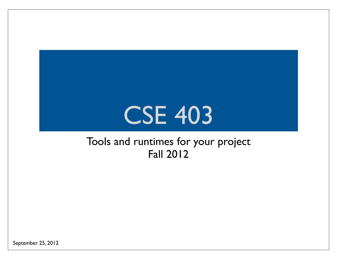### CSE 403

#### Tools and runtimes for your project Fall 2012

September 25, 2012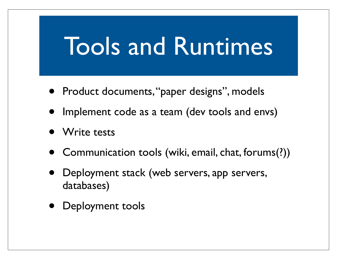### Tools and Runtimes

- Product documents, "paper designs", models
- Implement code as a team (dev tools and envs)
- Write tests
- Communication tools (wiki, email, chat, forums(?))
- Deployment stack (web servers, app servers, databases)
- Deployment tools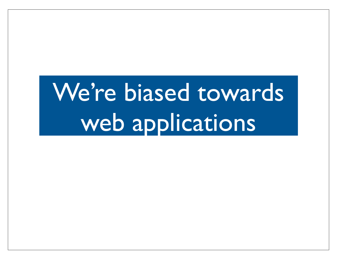# We're biased towards web applications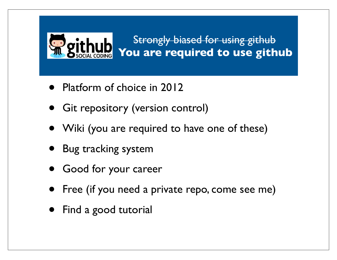#### Strongly biased for using github  **You are required to use github**

- Platform of choice in 2012
- **Git repository (version control)**
- Wiki (you are required to have one of these)
- Bug tracking system
- Good for your career
- Free (if you need a private repo, come see me)
- Find a good tutorial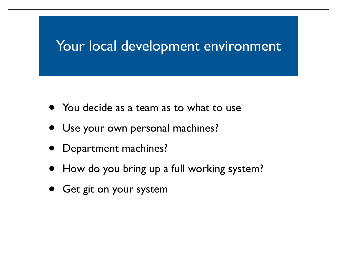#### Your local development environment

- You decide as a team as to what to use
- Use your own personal machines?
- Department machines?
- How do you bring up a full working system?
- Get git on your system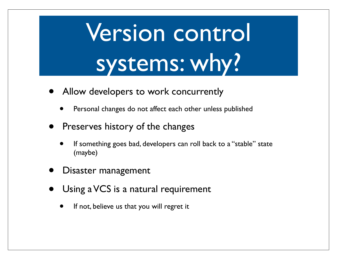# Version control systems: why?

- Allow developers to work concurrently
	- Personal changes do not affect each other unless published
- Preserves history of the changes
	- If something goes bad, developers can roll back to a "stable" state (maybe)
- Disaster management
- Using a VCS is a natural requirement
	- If not, believe us that you will regret it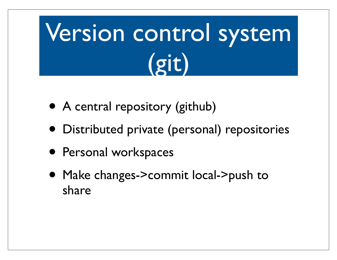# Version control system (git)

- A central repository (github)
- Distributed private (personal) repositories
- Personal workspaces
- Make changes->commit local->push to share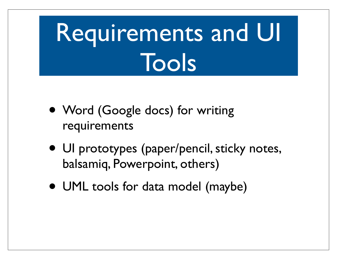# Requirements and UI Tools

- Word (Google docs) for writing requirements
- UI prototypes (paper/pencil, sticky notes, balsamiq, Powerpoint, others)
- UML tools for data model (maybe)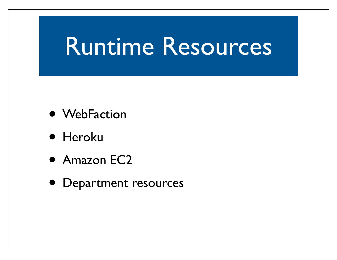#### Runtime Resources

- WebFaction
- Heroku
- Amazon EC2
- Department resources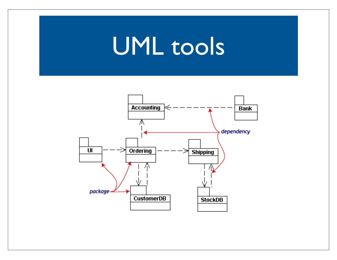### UML tools

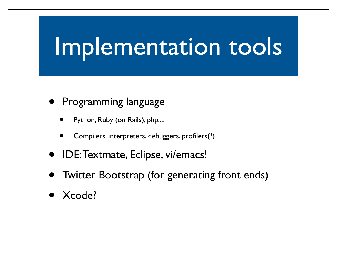### Implementation tools

#### • Programming language

- Python, Ruby (on Rails), php....
- Compilers, interpreters, debuggers, profilers(?)
- IDE: Textmate, Eclipse, vi/emacs!
- Twitter Bootstrap (for generating front ends)
- Xcode?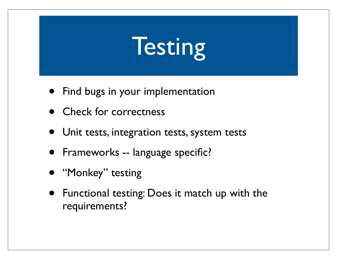## **Testing**

- **•** Find bugs in your implementation
- Check for correctness
- Unit tests, integration tests, system tests
- Frameworks -- language specific?
- "Monkey" testing
- Functional testing: Does it match up with the requirements?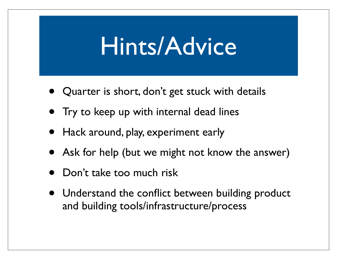#### Hints/Advice

- Quarter is short, don't get stuck with details
- Try to keep up with internal dead lines
- Hack around, play, experiment early
- Ask for help (but we might not know the answer)
- Don't take too much risk
- Understand the conflict between building product and building tools/infrastructure/process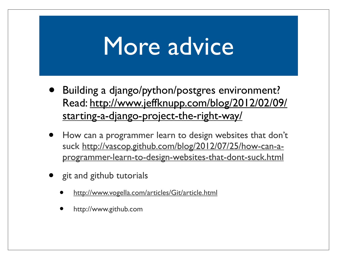#### More advice

- Building a django/python/postgres environment? Read: http://www.jeffknupp.com/blog/2012/02/09/ starting-a-django-project-the-right-way/
- How can a programmer learn to design websites that don't suck http://vascop.github.com/blog/2012/07/25/how-can-aprogrammer-learn-to-design-websites-that-dont-suck.html
- git and github tutorials
	- http://www.vogella.com/articles/Git/article.html
	- http://www.github.com